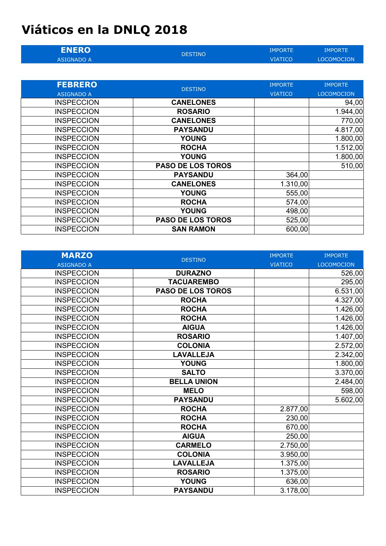## **Viáticos en la DNLQ 2018**

| <b>ENERO</b>      | <b>DESTINO</b> | IMPORTE | IMPORTE           |
|-------------------|----------------|---------|-------------------|
| <b>ASIGNADO A</b> |                | VIATICO | <b>LOCOMOCION</b> |

| <b>FEBRERO</b>    | <b>DESTINO</b>           | <b>IMPORTE</b> | <b>IMPORTE</b>    |
|-------------------|--------------------------|----------------|-------------------|
| <b>ASIGNADO A</b> |                          | <b>VIATICO</b> | <b>LOCOMOCION</b> |
| <b>INSPECCION</b> | <b>CANELONES</b>         |                | 94,00             |
| <b>INSPECCION</b> | <b>ROSARIO</b>           |                | 1.944,00          |
| <b>INSPECCION</b> | <b>CANELONES</b>         |                | 770,00            |
| <b>INSPECCION</b> | <b>PAYSANDU</b>          |                | 4.817,00          |
| <b>INSPECCION</b> | <b>YOUNG</b>             |                | 1.800,00          |
| <b>INSPECCION</b> | <b>ROCHA</b>             |                | 1.512,00          |
| <b>INSPECCION</b> | <b>YOUNG</b>             |                | 1.800,00          |
| <b>INSPECCION</b> | <b>PASO DE LOS TOROS</b> |                | 510,00            |
| <b>INSPECCION</b> | <b>PAYSANDU</b>          | 364,00         |                   |
| <b>INSPECCION</b> | <b>CANELONES</b>         | 1.310,00       |                   |
| <b>INSPECCION</b> | <b>YOUNG</b>             | 555,00         |                   |
| <b>INSPECCION</b> | <b>ROCHA</b>             | 574,00         |                   |
| <b>INSPECCION</b> | <b>YOUNG</b>             | 498,00         |                   |
| <b>INSPECCION</b> | <b>PASO DE LOS TOROS</b> | 525,00         |                   |
| <b>INSPECCION</b> | <b>SAN RAMON</b>         | 600,00         |                   |

| <b>MARZO</b>      | <b>DESTINO</b>     | <b>IMPORTE</b> | <b>IMPORTE</b>    |
|-------------------|--------------------|----------------|-------------------|
| <b>ASIGNADO A</b> |                    | <b>VIATICO</b> | <b>LOCOMOCION</b> |
| <b>INSPECCION</b> | <b>DURAZNO</b>     |                | 526,00            |
| <b>INSPECCION</b> | <b>TACUAREMBO</b>  |                | 295,00            |
| <b>INSPECCION</b> | PASO DE LOS TOROS  |                | 6.531,00          |
| <b>INSPECCION</b> | <b>ROCHA</b>       |                | 4.327,00          |
| <b>INSPECCION</b> | <b>ROCHA</b>       |                | 1.426,00          |
| <b>INSPECCION</b> | <b>ROCHA</b>       |                | 1.426,00          |
| <b>INSPECCION</b> | <b>AIGUA</b>       |                | 1.426,00          |
| <b>INSPECCION</b> | <b>ROSARIO</b>     |                | 1.407,00          |
| <b>INSPECCION</b> | <b>COLONIA</b>     |                | 2.572,00          |
| <b>INSPECCION</b> | <b>LAVALLEJA</b>   |                | 2.342,00          |
| <b>INSPECCION</b> | <b>YOUNG</b>       |                | 1.800,00          |
| <b>INSPECCION</b> | <b>SALTO</b>       |                | 3.370,00          |
| <b>INSPECCION</b> | <b>BELLA UNION</b> |                | 2.484,00          |
| <b>INSPECCION</b> | <b>MELO</b>        |                | 598,00            |
| <b>INSPECCION</b> | <b>PAYSANDU</b>    |                | 5.602,00          |
| <b>INSPECCION</b> | <b>ROCHA</b>       | 2.877,00       |                   |
| <b>INSPECCION</b> | <b>ROCHA</b>       | 230,00         |                   |
| <b>INSPECCION</b> | <b>ROCHA</b>       | 670,00         |                   |
| <b>INSPECCION</b> | <b>AIGUA</b>       | 250,00         |                   |
| <b>INSPECCION</b> | <b>CARMELO</b>     | 2.750,00       |                   |
| <b>INSPECCION</b> | <b>COLONIA</b>     | 3.950,00       |                   |
| <b>INSPECCION</b> | <b>LAVALLEJA</b>   | 1.375,00       |                   |
| <b>INSPECCION</b> | <b>ROSARIO</b>     | 1.375,00       |                   |
| <b>INSPECCION</b> | <b>YOUNG</b>       | 636,00         |                   |
| <b>INSPECCION</b> | <b>PAYSANDU</b>    | 3.178,00       |                   |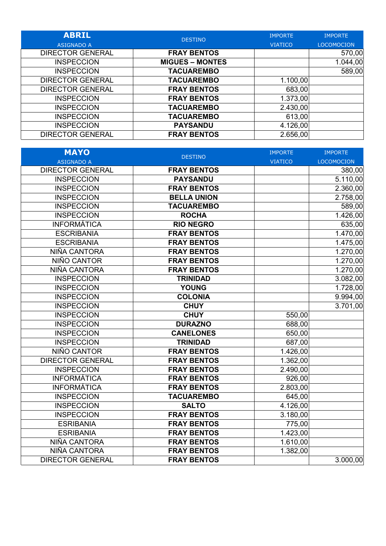| <b>ABRIL</b><br><b>ASIGNADO A</b> | <b>DESTINO</b>         | <b>IMPORTE</b><br><b>VIATICO</b> | <b>IMPORTE</b><br><b>LOCOMOCION</b> |
|-----------------------------------|------------------------|----------------------------------|-------------------------------------|
| <b>DIRECTOR GENERAL</b>           | <b>FRAY BENTOS</b>     |                                  | 570,00                              |
| <b>INSPECCION</b>                 | <b>MIGUES – MONTES</b> |                                  | 1.044,00                            |
| <b>INSPECCION</b>                 | <b>TACUAREMBO</b>      |                                  | 589,00                              |
| <b>DIRECTOR GENERAL</b>           | <b>TACUAREMBO</b>      | 1.100,00                         |                                     |
| <b>DIRECTOR GENERAL</b>           | <b>FRAY BENTOS</b>     | 683,00                           |                                     |
| <b>INSPECCION</b>                 | <b>FRAY BENTOS</b>     | 1.373,00                         |                                     |
| <b>INSPECCION</b>                 | <b>TACUAREMBO</b>      | 2.430,00                         |                                     |
| <b>INSPECCION</b>                 | <b>TACUAREMBO</b>      | 613,00                           |                                     |
| <b>INSPECCION</b>                 | <b>PAYSANDU</b>        | 4.126,00                         |                                     |
| <b>DIRECTOR GENERAL</b>           | <b>FRAY BENTOS</b>     | 2.656,00                         |                                     |

| <b>MAYO</b>             | <b>DESTINO</b>     | <b>IMPORTE</b> | <b>IMPORTE</b>    |
|-------------------------|--------------------|----------------|-------------------|
| <b>ASIGNADO A</b>       |                    | <b>VIATICO</b> | <b>LOCOMOCION</b> |
| <b>DIRECTOR GENERAL</b> | <b>FRAY BENTOS</b> |                | 380,00            |
| <b>INSPECCION</b>       | <b>PAYSANDU</b>    |                | 5.110,00          |
| <b>INSPECCION</b>       | <b>FRAY BENTOS</b> |                | 2.360,00          |
| <b>INSPECCION</b>       | <b>BELLA UNION</b> |                | 2.758,00          |
| <b>INSPECCION</b>       | <b>TACUAREMBO</b>  |                | 589,00            |
| <b>INSPECCION</b>       | <b>ROCHA</b>       |                | 1.426,00          |
| <b>INFORMÁTICA</b>      | <b>RIO NEGRO</b>   |                | 635,00            |
| <b>ESCRIBANIA</b>       | <b>FRAY BENTOS</b> |                | 1.470,00          |
| <b>ESCRIBANIA</b>       | <b>FRAY BENTOS</b> |                | 1.475,00          |
| NIÑA CANTORA            | <b>FRAY BENTOS</b> |                | 1.270,00          |
| NIÑO CANTOR             | <b>FRAY BENTOS</b> |                | 1.270,00          |
| NIÑA CANTORA            | <b>FRAY BENTOS</b> |                | 1.270,00          |
| <b>INSPECCION</b>       | <b>TRINIDAD</b>    |                | 3.082,00          |
| <b>INSPECCION</b>       | <b>YOUNG</b>       |                | 1.728,00          |
| <b>INSPECCION</b>       | <b>COLONIA</b>     |                | 9.994,00          |
| <b>INSPECCION</b>       | <b>CHUY</b>        |                | 3.701,00          |
| <b>INSPECCION</b>       | <b>CHUY</b>        | 550,00         |                   |
| <b>INSPECCION</b>       | <b>DURAZNO</b>     | 688,00         |                   |
| <b>INSPECCION</b>       | <b>CANELONES</b>   | 650,00         |                   |
| <b>INSPECCION</b>       | <b>TRINIDAD</b>    | 687,00         |                   |
| NIÑO CANTOR             | <b>FRAY BENTOS</b> | 1.426,00       |                   |
| <b>DIRECTOR GENERAL</b> | <b>FRAY BENTOS</b> | 1.362,00       |                   |
| <b>INSPECCION</b>       | <b>FRAY BENTOS</b> | 2.490,00       |                   |
| <b>INFORMÁTICA</b>      | <b>FRAY BENTOS</b> | 926,00         |                   |
| <b>INFORMÁTICA</b>      | <b>FRAY BENTOS</b> | 2.803,00       |                   |
| <b>INSPECCION</b>       | <b>TACUAREMBO</b>  | 645,00         |                   |
| <b>INSPECCION</b>       | <b>SALTO</b>       | 4.126,00       |                   |
| <b>INSPECCION</b>       | <b>FRAY BENTOS</b> | 3.180,00       |                   |
| <b>ESRIBANIA</b>        | <b>FRAY BENTOS</b> | 775,00         |                   |
| <b>ESRIBANIA</b>        | <b>FRAY BENTOS</b> | 1.423,00       |                   |
| NIÑA CANTORA            | <b>FRAY BENTOS</b> | 1.610,00       |                   |
| NIÑA CANTORA            | <b>FRAY BENTOS</b> | 1.382,00       |                   |
| <b>DIRECTOR GENERAL</b> | <b>FRAY BENTOS</b> |                | 3.000,00          |